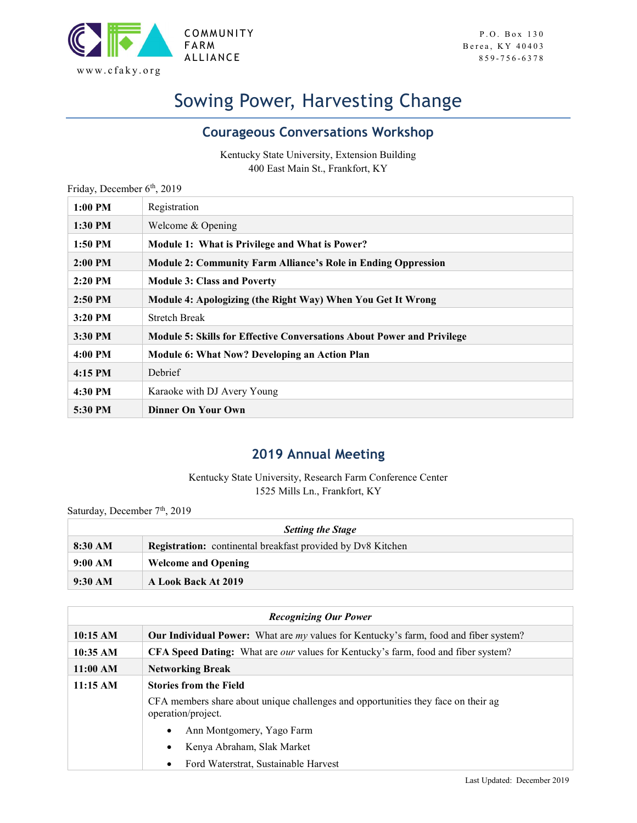

## Sowing Power, Harvesting Change

## Courageous Conversations Workshop

Kentucky State University, Extension Building 400 East Main St., Frankfort, KY

| Friday, December 6th, 2019 |                                                                        |
|----------------------------|------------------------------------------------------------------------|
| $1:00$ PM                  | Registration                                                           |
| 1:30 PM                    | Welcome & Opening                                                      |
| 1:50 PM                    | Module 1: What is Privilege and What is Power?                         |
| $2:00$ PM                  | <b>Module 2: Community Farm Alliance's Role in Ending Oppression</b>   |
| $2:20$ PM                  | <b>Module 3: Class and Poverty</b>                                     |
| $2:50$ PM                  | Module 4: Apologizing (the Right Way) When You Get It Wrong            |
| $3:20$ PM                  | <b>Stretch Break</b>                                                   |
| 3:30 PM                    | Module 5: Skills for Effective Conversations About Power and Privilege |
| 4:00 PM                    | Module 6: What Now? Developing an Action Plan                          |
| $4:15$ PM                  | <b>Debrief</b>                                                         |
| 4:30 PM                    | Karaoke with DJ Avery Young                                            |
| 5:30 PM                    | <b>Dinner On Your Own</b>                                              |

## 2019 Annual Meeting

Kentucky State University, Research Farm Conference Center 1525 Mills Ln., Frankfort, KY

| Saturday, December 7 <sup>th</sup> , 2019 |                                                                    |  |
|-------------------------------------------|--------------------------------------------------------------------|--|
| <b>Setting the Stage</b>                  |                                                                    |  |
| $8:30 \text{ AM}$                         | <b>Registration:</b> continental breakfast provided by Dv8 Kitchen |  |
| 9:00 AM                                   | <b>Welcome and Opening</b>                                         |  |
| $9:30$ AM                                 | A Look Back At 2019                                                |  |

| <b>Recognizing Our Power</b> |                                                                                                         |
|------------------------------|---------------------------------------------------------------------------------------------------------|
| 10:15 AM                     | <b>Our Individual Power:</b> What are my values for Kentucky's farm, food and fiber system?             |
| 10:35 AM                     | <b>CFA Speed Dating:</b> What are <i>our</i> values for Kentucky's farm, food and fiber system?         |
| 11:00 AM                     | <b>Networking Break</b>                                                                                 |
| 11:15 AM                     | <b>Stories from the Field</b>                                                                           |
|                              | CFA members share about unique challenges and opportunities they face on their ag<br>operation/project. |
|                              | Ann Montgomery, Yago Farm<br>$\bullet$                                                                  |
|                              | Kenya Abraham, Slak Market                                                                              |
|                              | Ford Waterstrat, Sustainable Harvest                                                                    |